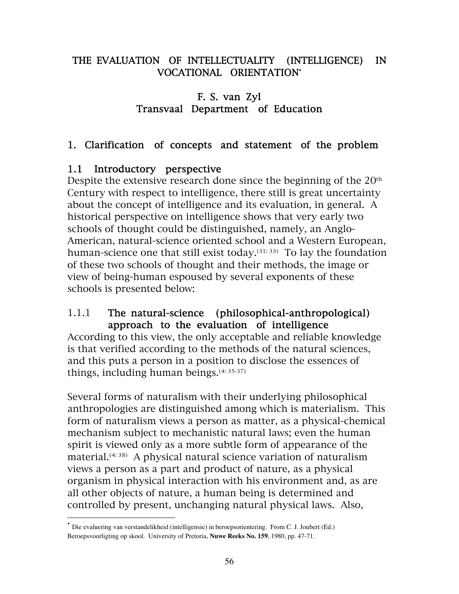## THE EVALUATION OF INTELLECTUALITY (INTELLIGENCE) IN VOCATIONAL ORIENTATION•

## F. S. van Zyl Transvaal Department of Education

## 1. Clarification of concepts and statement of the problem

## 1.1 Introductory perspective

Despite the extensive research done since the beginning of the 20<sup>th</sup> Century with respect to intelligence, there still is great uncertainty about the concept of intelligence and its evaluation, in general. A historical perspective on intelligence shows that very early two schools of thought could be distinguished, namely, an Anglo-American, natural-science oriented school and a Western European, human-science one that still exist today.<sup>(31: 33)</sup> To lay the foundation of these two schools of thought and their methods, the image or view of being-human espoused by several exponents of these schools is presented below:

## 1.1.1 The natural-science (philosophical-anthropological) approach to the evaluation of intelligence

According to this view, the only acceptable and reliable knowledge is that verified according to the methods of the natural sciences, and this puts a person in a position to disclose the essences of things, including human beings.(4: 35-37)

Several forms of naturalism with their underlying philosophical anthropologies are distinguished among which is materialism. This form of naturalism views a person as matter, as a physical-chemical mechanism subject to mechanistic natural laws; even the human spirit is viewed only as a more subtle form of appearance of the material.(4: 38) A physical natural science variation of naturalism views a person as a part and product of nature, as a physical organism in physical interaction with his environment and, as are all other objects of nature, a human being is determined and controlled by present, unchanging natural physical laws. Also,

• Die evaluering van verstandelikheid (intelligensie) in beroepsorientering. From C. J. Joubert (Ed.) Beroepsvoorligting op skool. University of Pretoria, **Nuwe Reeks No. 159**, 1980, pp. 47-71.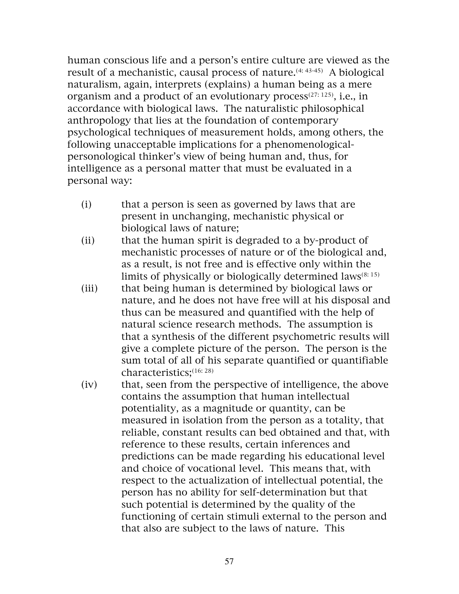human conscious life and a person's entire culture are viewed as the result of a mechanistic, causal process of nature.<sup>(4: 43-45)</sup> A biological naturalism, again, interprets (explains) a human being as a mere organism and a product of an evolutionary process $(27:125)$ , i.e., in accordance with biological laws. The naturalistic philosophical anthropology that lies at the foundation of contemporary psychological techniques of measurement holds, among others, the following unacceptable implications for a phenomenologicalpersonological thinker's view of being human and, thus, for intelligence as a personal matter that must be evaluated in a personal way:

- (i) that a person is seen as governed by laws that are present in unchanging, mechanistic physical or biological laws of nature;
- (ii) that the human spirit is degraded to a by-product of mechanistic processes of nature or of the biological and, as a result, is not free and is effective only within the limits of physically or biologically determined laws<sup> $(8:15)$ </sup>
- (iii) that being human is determined by biological laws or nature, and he does not have free will at his disposal and thus can be measured and quantified with the help of natural science research methods. The assumption is that a synthesis of the different psychometric results will give a complete picture of the person. The person is the sum total of all of his separate quantified or quantifiable characteristics;(16: 28)
- (iv) that, seen from the perspective of intelligence, the above contains the assumption that human intellectual potentiality, as a magnitude or quantity, can be measured in isolation from the person as a totality, that reliable, constant results can bed obtained and that, with reference to these results, certain inferences and predictions can be made regarding his educational level and choice of vocational level. This means that, with respect to the actualization of intellectual potential, the person has no ability for self-determination but that such potential is determined by the quality of the functioning of certain stimuli external to the person and that also are subject to the laws of nature. This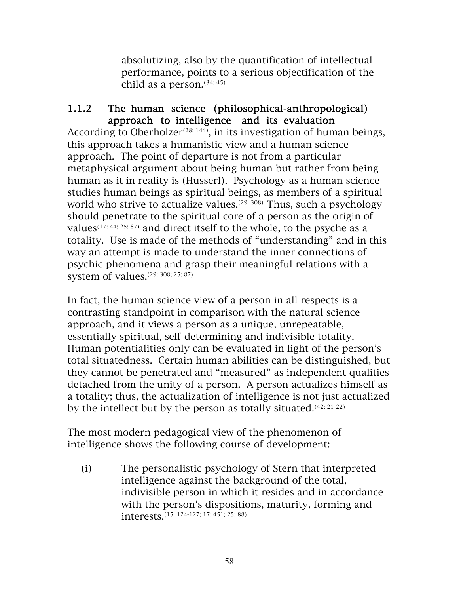absolutizing, also by the quantification of intellectual performance, points to a serious objectification of the child as a person.  $(34: 45)$ 

#### 1.1.2 The human science (philosophical-anthropological) approach to intelligence and its evaluation

According to Oberholzer<sup> $(28: 144)$ </sup>, in its investigation of human beings, this approach takes a humanistic view and a human science approach. The point of departure is not from a particular metaphysical argument about being human but rather from being human as it in reality is (Husserl). Psychology as a human science studies human beings as spiritual beings, as members of a spiritual world who strive to actualize values.<sup> $(29: 308)$ </sup> Thus, such a psychology should penetrate to the spiritual core of a person as the origin of values<sup>(17: 44; 25: 87)</sup> and direct itself to the whole, to the psyche as a totality. Use is made of the methods of "understanding" and in this way an attempt is made to understand the inner connections of psychic phenomena and grasp their meaningful relations with a system of values.(29: 308; 25: 87)

In fact, the human science view of a person in all respects is a contrasting standpoint in comparison with the natural science approach, and it views a person as a unique, unrepeatable, essentially spiritual, self-determining and indivisible totality. Human potentialities only can be evaluated in light of the person's total situatedness. Certain human abilities can be distinguished, but they cannot be penetrated and "measured" as independent qualities detached from the unity of a person. A person actualizes himself as a totality; thus, the actualization of intelligence is not just actualized by the intellect but by the person as totally situated. $(42: 21-22)$ 

The most modern pedagogical view of the phenomenon of intelligence shows the following course of development:

(i) The personalistic psychology of Stern that interpreted intelligence against the background of the total, indivisible person in which it resides and in accordance with the person's dispositions, maturity, forming and interests.(15: 124-127; 17: 451; 25: 88)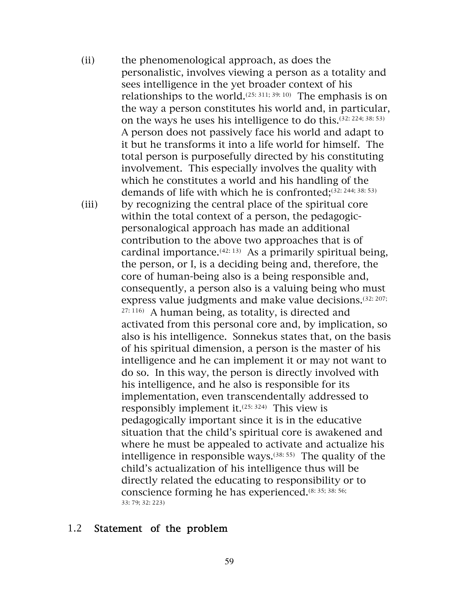(ii) the phenomenological approach, as does the personalistic, involves viewing a person as a totality and sees intelligence in the yet broader context of his relationships to the world.(25: 311; 39: 10) The emphasis is on the way a person constitutes his world and, in particular, on the ways he uses his intelligence to do this.(32: 224; 38: 53) A person does not passively face his world and adapt to it but he transforms it into a life world for himself. The total person is purposefully directed by his constituting involvement. This especially involves the quality with which he constitutes a world and his handling of the demands of life with which he is confronted; $(32: 244; 38: 53)$ (iii) by recognizing the central place of the spiritual core within the total context of a person, the pedagogicpersonalogical approach has made an additional contribution to the above two approaches that is of cardinal importance. $(42: 13)$  As a primarily spiritual being, the person, or I, is a deciding being and, therefore, the core of human-being also is a being responsible and, consequently, a person also is a valuing being who must express value judgments and make value decisions.(32: 207; 27: 116) A human being, as totality, is directed and activated from this personal core and, by implication, so also is his intelligence. Sonnekus states that, on the basis of his spiritual dimension, a person is the master of his intelligence and he can implement it or may not want to do so. In this way, the person is directly involved with his intelligence, and he also is responsible for its implementation, even transcendentally addressed to responsibly implement it. $(25: 324)$  This view is pedagogically important since it is in the educative situation that the child's spiritual core is awakened and where he must be appealed to activate and actualize his intelligence in responsible ways.(38: 55) The quality of the child's actualization of his intelligence thus will be directly related the educating to responsibility or to conscience forming he has experienced.(8: 35; 38: 56; 33: 79; 32: 223)

#### 1.2 Statement of the problem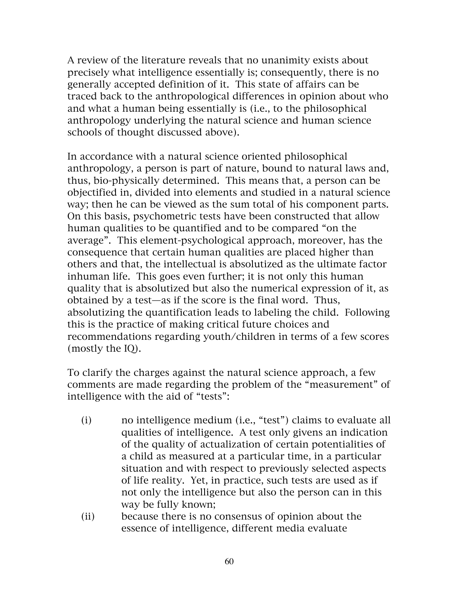A review of the literature reveals that no unanimity exists about precisely what intelligence essentially is; consequently, there is no generally accepted definition of it. This state of affairs can be traced back to the anthropological differences in opinion about who and what a human being essentially is (i.e., to the philosophical anthropology underlying the natural science and human science schools of thought discussed above).

In accordance with a natural science oriented philosophical anthropology, a person is part of nature, bound to natural laws and, thus, bio-physically determined. This means that, a person can be objectified in, divided into elements and studied in a natural science way; then he can be viewed as the sum total of his component parts. On this basis, psychometric tests have been constructed that allow human qualities to be quantified and to be compared "on the average". This element-psychological approach, moreover, has the consequence that certain human qualities are placed higher than others and that, the intellectual is absolutized as the ultimate factor inhuman life. This goes even further; it is not only this human quality that is absolutized but also the numerical expression of it, as obtained by a test—as if the score is the final word. Thus, absolutizing the quantification leads to labeling the child. Following this is the practice of making critical future choices and recommendations regarding youth/children in terms of a few scores (mostly the IQ).

To clarify the charges against the natural science approach, a few comments are made regarding the problem of the "measurement" of intelligence with the aid of "tests":

- (i) no intelligence medium (i.e., "test") claims to evaluate all qualities of intelligence. A test only givens an indication of the quality of actualization of certain potentialities of a child as measured at a particular time, in a particular situation and with respect to previously selected aspects of life reality. Yet, in practice, such tests are used as if not only the intelligence but also the person can in this way be fully known;
- (ii) because there is no consensus of opinion about the essence of intelligence, different media evaluate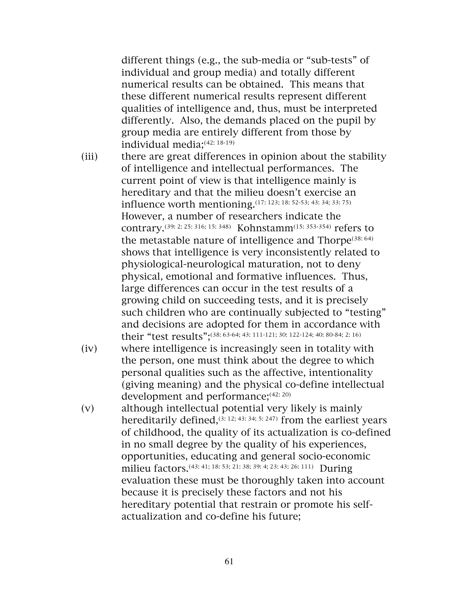different things (e.g., the sub-media or "sub-tests" of individual and group media) and totally different numerical results can be obtained. This means that these different numerical results represent different qualities of intelligence and, thus, must be interpreted differently. Also, the demands placed on the pupil by group media are entirely different from those by individual media;(42: 18-19)

- (iii) there are great differences in opinion about the stability of intelligence and intellectual performances. The current point of view is that intelligence mainly is hereditary and that the milieu doesn't exercise an influence worth mentioning.(17: 123; 18: 52-53; 43: 34; 33: 75) However, a number of researchers indicate the contrary.(39: 2: 25: 316; 15: 348) Kohnstamm(15: 353-354) refers to the metastable nature of intelligence and Thorpe<sup>(38: 64)</sup> shows that intelligence is very inconsistently related to physiological-neurological maturation, not to deny physical, emotional and formative influences. Thus, large differences can occur in the test results of a growing child on succeeding tests, and it is precisely such children who are continually subjected to "testing" and decisions are adopted for them in accordance with their "test results";(38: 63-64; 43: 111-121; 30: 122-124; 40: 80-84; 2: 16)
- (iv) where intelligence is increasingly seen in totality with the person, one must think about the degree to which personal qualities such as the affective, intentionality (giving meaning) and the physical co-define intellectual development and performance;<sup>(42: 20)</sup>
- (v) although intellectual potential very likely is mainly hereditarily defined,  $(3: 12; 43: 34; 5: 247)$  from the earliest years of childhood, the quality of its actualization is co-defined in no small degree by the quality of his experiences, opportunities, educating and general socio-economic milieu factors.<sup>(43: 41; 18: 53; 21: 38; 39: 4; 23: 43; 26: 111)</sup> During evaluation these must be thoroughly taken into account because it is precisely these factors and not his hereditary potential that restrain or promote his selfactualization and co-define his future;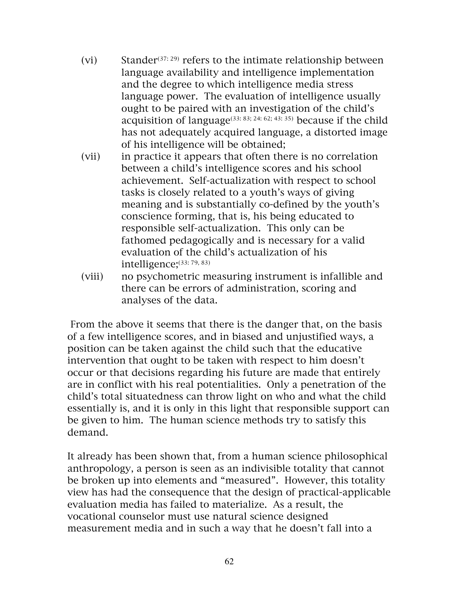- (vi) Stander<sup>(37: 29)</sup> refers to the intimate relationship between language availability and intelligence implementation and the degree to which intelligence media stress language power. The evaluation of intelligence usually ought to be paired with an investigation of the child's acquisition of language(33: 83; 24: 62; 43: 35) because if the child has not adequately acquired language, a distorted image of his intelligence will be obtained;
- (vii) in practice it appears that often there is no correlation between a child's intelligence scores and his school achievement. Self-actualization with respect to school tasks is closely related to a youth's ways of giving meaning and is substantially co-defined by the youth's conscience forming, that is, his being educated to responsible self-actualization. This only can be fathomed pedagogically and is necessary for a valid evaluation of the child's actualization of his intelligence;(33: 79, 83)
- (viii) no psychometric measuring instrument is infallible and there can be errors of administration, scoring and analyses of the data.

 From the above it seems that there is the danger that, on the basis of a few intelligence scores, and in biased and unjustified ways, a position can be taken against the child such that the educative intervention that ought to be taken with respect to him doesn't occur or that decisions regarding his future are made that entirely are in conflict with his real potentialities. Only a penetration of the child's total situatedness can throw light on who and what the child essentially is, and it is only in this light that responsible support can be given to him. The human science methods try to satisfy this demand.

It already has been shown that, from a human science philosophical anthropology, a person is seen as an indivisible totality that cannot be broken up into elements and "measured". However, this totality view has had the consequence that the design of practical-applicable evaluation media has failed to materialize. As a result, the vocational counselor must use natural science designed measurement media and in such a way that he doesn't fall into a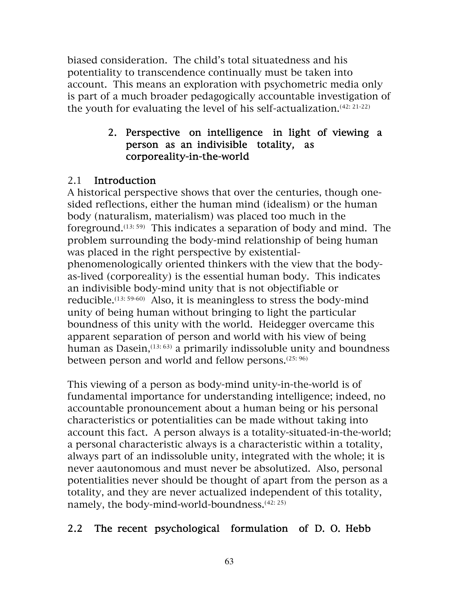biased consideration. The child's total situatedness and his potentiality to transcendence continually must be taken into account. This means an exploration with psychometric media only is part of a much broader pedagogically accountable investigation of the youth for evaluating the level of his self-actualization.(42: 21-22)

## 2. Perspective on intelligence in light of viewing a person as an indivisible totality, as corporeality-in-the-world

## 2.1 Introduction

A historical perspective shows that over the centuries, though onesided reflections, either the human mind (idealism) or the human body (naturalism, materialism) was placed too much in the foreground.<sup> $(13: 59)$ </sup> This indicates a separation of body and mind. The problem surrounding the body-mind relationship of being human was placed in the right perspective by existentialphenomenologically oriented thinkers with the view that the bodyas-lived (corporeality) is the essential human body. This indicates an indivisible body-mind unity that is not objectifiable or reducible.<sup>(13: 59-60)</sup> Also, it is meaningless to stress the body-mind unity of being human without bringing to light the particular boundness of this unity with the world. Heidegger overcame this apparent separation of person and world with his view of being human as Dasein,  $(13: 63)$  a primarily indissoluble unity and boundness between person and world and fellow persons.(25: 96)

This viewing of a person as body-mind unity-in-the-world is of fundamental importance for understanding intelligence; indeed, no accountable pronouncement about a human being or his personal characteristics or potentialities can be made without taking into account this fact. A person always is a totality-situated-in-the-world; a personal characteristic always is a characteristic within a totality, always part of an indissoluble unity, integrated with the whole; it is never aautonomous and must never be absolutized. Also, personal potentialities never should be thought of apart from the person as a totality, and they are never actualized independent of this totality, namely, the body-mind-world-boundness.<sup>(42: 25)</sup>

## 2.2 The recent psychological formulation of D. O. Hebb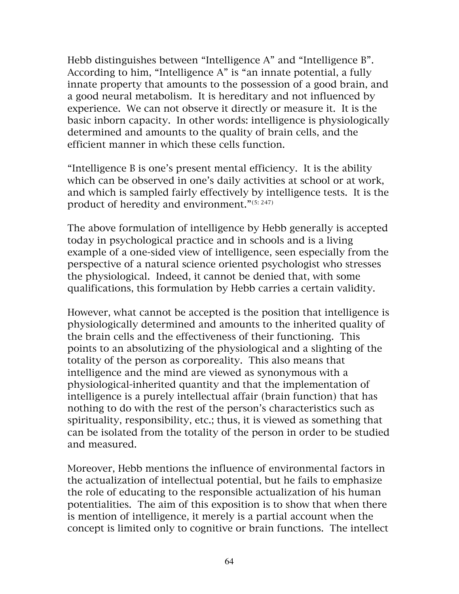Hebb distinguishes between "Intelligence A" and "Intelligence B". According to him, "Intelligence A" is "an innate potential, a fully innate property that amounts to the possession of a good brain, and a good neural metabolism. It is hereditary and not influenced by experience. We can not observe it directly or measure it. It is the basic inborn capacity. In other words: intelligence is physiologically determined and amounts to the quality of brain cells, and the efficient manner in which these cells function.

"Intelligence B is one's present mental efficiency. It is the ability which can be observed in one's daily activities at school or at work, and which is sampled fairly effectively by intelligence tests. It is the product of heredity and environment."(5:247)

The above formulation of intelligence by Hebb generally is accepted today in psychological practice and in schools and is a living example of a one-sided view of intelligence, seen especially from the perspective of a natural science oriented psychologist who stresses the physiological. Indeed, it cannot be denied that, with some qualifications, this formulation by Hebb carries a certain validity.

However, what cannot be accepted is the position that intelligence is physiologically determined and amounts to the inherited quality of the brain cells and the effectiveness of their functioning. This points to an absolutizing of the physiological and a slighting of the totality of the person as corporeality. This also means that intelligence and the mind are viewed as synonymous with a physiological-inherited quantity and that the implementation of intelligence is a purely intellectual affair (brain function) that has nothing to do with the rest of the person's characteristics such as spirituality, responsibility, etc.; thus, it is viewed as something that can be isolated from the totality of the person in order to be studied and measured.

Moreover, Hebb mentions the influence of environmental factors in the actualization of intellectual potential, but he fails to emphasize the role of educating to the responsible actualization of his human potentialities. The aim of this exposition is to show that when there is mention of intelligence, it merely is a partial account when the concept is limited only to cognitive or brain functions. The intellect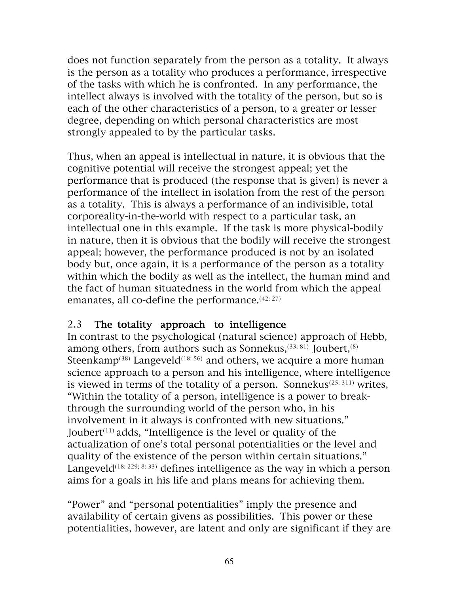does not function separately from the person as a totality. It always is the person as a totality who produces a performance, irrespective of the tasks with which he is confronted. In any performance, the intellect always is involved with the totality of the person, but so is each of the other characteristics of a person, to a greater or lesser degree, depending on which personal characteristics are most strongly appealed to by the particular tasks.

Thus, when an appeal is intellectual in nature, it is obvious that the cognitive potential will receive the strongest appeal; yet the performance that is produced (the response that is given) is never a performance of the intellect in isolation from the rest of the person as a totality. This is always a performance of an indivisible, total corporeality-in-the-world with respect to a particular task, an intellectual one in this example. If the task is more physical-bodily in nature, then it is obvious that the bodily will receive the strongest appeal; however, the performance produced is not by an isolated body but, once again, it is a performance of the person as a totality within which the bodily as well as the intellect, the human mind and the fact of human situatedness in the world from which the appeal emanates, all co-define the performance.<sup>(42: 27)</sup>

## 2.3 The totality approach to intelligence

In contrast to the psychological (natural science) approach of Hebb, among others, from authors such as Sonnekus,<sup>(33: 81)</sup> Joubert,<sup>(8)</sup> Steenkamp<sup>(38)</sup> Langeveld<sup>(18: 56)</sup> and others, we acquire a more human science approach to a person and his intelligence, where intelligence is viewed in terms of the totality of a person. Sonnekus<sup> $(25: 311)$ </sup> writes, "Within the totality of a person, intelligence is a power to breakthrough the surrounding world of the person who, in his involvement in it always is confronted with new situations." Joubert<sup> $(11)$ </sup> adds, "Intelligence is the level or quality of the actualization of one's total personal potentialities or the level and quality of the existence of the person within certain situations." Langeveld<sup>(18: 229; 8: 33)</sup> defines intelligence as the way in which a person aims for a goals in his life and plans means for achieving them.

"Power" and "personal potentialities" imply the presence and availability of certain givens as possibilities. This power or these potentialities, however, are latent and only are significant if they are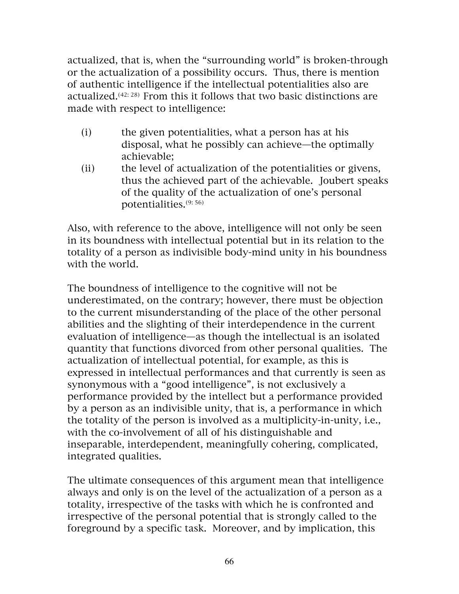actualized, that is, when the "surrounding world" is broken-through or the actualization of a possibility occurs. Thus, there is mention of authentic intelligence if the intellectual potentialities also are actualized.(42: 28) From this it follows that two basic distinctions are made with respect to intelligence:

- (i) the given potentialities, what a person has at his disposal, what he possibly can achieve—the optimally achievable;
- (ii) the level of actualization of the potentialities or givens, thus the achieved part of the achievable. Joubert speaks of the quality of the actualization of one's personal potentialities.(9: 56)

Also, with reference to the above, intelligence will not only be seen in its boundness with intellectual potential but in its relation to the totality of a person as indivisible body-mind unity in his boundness with the world.

The boundness of intelligence to the cognitive will not be underestimated, on the contrary; however, there must be objection to the current misunderstanding of the place of the other personal abilities and the slighting of their interdependence in the current evaluation of intelligence—as though the intellectual is an isolated quantity that functions divorced from other personal qualities. The actualization of intellectual potential, for example, as this is expressed in intellectual performances and that currently is seen as synonymous with a "good intelligence", is not exclusively a performance provided by the intellect but a performance provided by a person as an indivisible unity, that is, a performance in which the totality of the person is involved as a multiplicity-in-unity, i.e., with the co-involvement of all of his distinguishable and inseparable, interdependent, meaningfully cohering, complicated, integrated qualities.

The ultimate consequences of this argument mean that intelligence always and only is on the level of the actualization of a person as a totality, irrespective of the tasks with which he is confronted and irrespective of the personal potential that is strongly called to the foreground by a specific task. Moreover, and by implication, this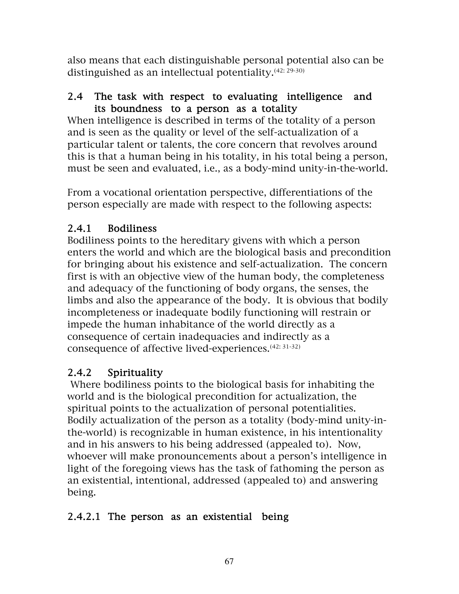also means that each distinguishable personal potential also can be distinguished as an intellectual potentiality.(42: 29-30)

## 2.4 The task with respect to evaluating intelligence and its boundness to a person as a totality

When intelligence is described in terms of the totality of a person and is seen as the quality or level of the self-actualization of a particular talent or talents, the core concern that revolves around this is that a human being in his totality, in his total being a person, must be seen and evaluated, i.e., as a body-mind unity-in-the-world.

From a vocational orientation perspective, differentiations of the person especially are made with respect to the following aspects:

## 2.4.1 Bodiliness

Bodiliness points to the hereditary givens with which a person enters the world and which are the biological basis and precondition for bringing about his existence and self-actualization. The concern first is with an objective view of the human body, the completeness and adequacy of the functioning of body organs, the senses, the limbs and also the appearance of the body. It is obvious that bodily incompleteness or inadequate bodily functioning will restrain or impede the human inhabitance of the world directly as a consequence of certain inadequacies and indirectly as a consequence of affective lived-experiences.(42: 31-32)

## 2.4.2 Spirituality

 Where bodiliness points to the biological basis for inhabiting the world and is the biological precondition for actualization, the spiritual points to the actualization of personal potentialities. Bodily actualization of the person as a totality (body-mind unity-inthe-world) is recognizable in human existence, in his intentionality and in his answers to his being addressed (appealed to). Now, whoever will make pronouncements about a person's intelligence in light of the foregoing views has the task of fathoming the person as an existential, intentional, addressed (appealed to) and answering being.

## 2.4.2.1 The person as an existential being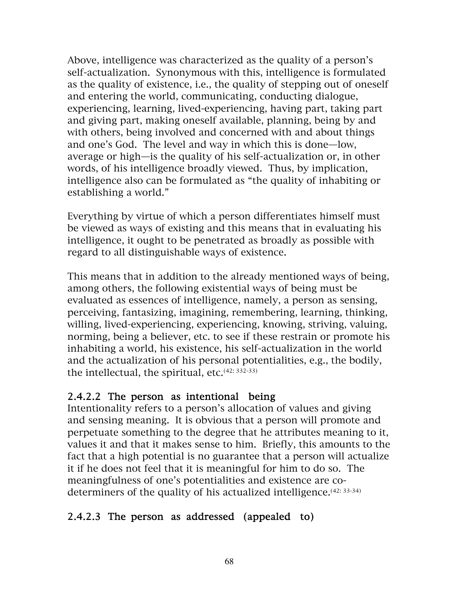Above, intelligence was characterized as the quality of a person's self-actualization. Synonymous with this, intelligence is formulated as the quality of existence, i.e., the quality of stepping out of oneself and entering the world, communicating, conducting dialogue, experiencing, learning, lived-experiencing, having part, taking part and giving part, making oneself available, planning, being by and with others, being involved and concerned with and about things and one's God. The level and way in which this is done—low, average or high—is the quality of his self-actualization or, in other words, of his intelligence broadly viewed. Thus, by implication, intelligence also can be formulated as "the quality of inhabiting or establishing a world."

Everything by virtue of which a person differentiates himself must be viewed as ways of existing and this means that in evaluating his intelligence, it ought to be penetrated as broadly as possible with regard to all distinguishable ways of existence.

This means that in addition to the already mentioned ways of being, among others, the following existential ways of being must be evaluated as essences of intelligence, namely, a person as sensing, perceiving, fantasizing, imagining, remembering, learning, thinking, willing, lived-experiencing, experiencing, knowing, striving, valuing, norming, being a believer, etc. to see if these restrain or promote his inhabiting a world, his existence, his self-actualization in the world and the actualization of his personal potentialities, e.g., the bodily, the intellectual, the spiritual,  $etc.<sup>(42: 332-33)</sup>$ 

## 2.4.2.2 The person as intentional being

Intentionality refers to a person's allocation of values and giving and sensing meaning. It is obvious that a person will promote and perpetuate something to the degree that he attributes meaning to it, values it and that it makes sense to him. Briefly, this amounts to the fact that a high potential is no guarantee that a person will actualize it if he does not feel that it is meaningful for him to do so. The meaningfulness of one's potentialities and existence are codeterminers of the quality of his actualized intelligence.<sup>(42: 33-34)</sup>

## 2.4.2.3 The person as addressed (appealed to)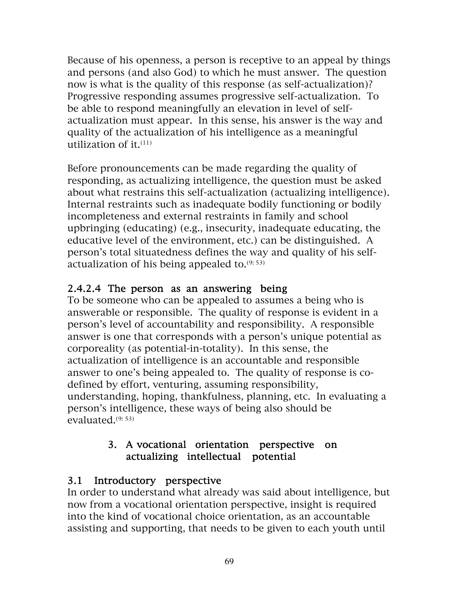Because of his openness, a person is receptive to an appeal by things and persons (and also God) to which he must answer. The question now is what is the quality of this response (as self-actualization)? Progressive responding assumes progressive self-actualization. To be able to respond meaningfully an elevation in level of selfactualization must appear. In this sense, his answer is the way and quality of the actualization of his intelligence as a meaningful utilization of it. $(11)$ 

Before pronouncements can be made regarding the quality of responding, as actualizing intelligence, the question must be asked about what restrains this self-actualization (actualizing intelligence). Internal restraints such as inadequate bodily functioning or bodily incompleteness and external restraints in family and school upbringing (educating) (e.g., insecurity, inadequate educating, the educative level of the environment, etc.) can be distinguished. A person's total situatedness defines the way and quality of his selfactualization of his being appealed to. $(9:53)$ 

# 2.4.2.4 The person as an answering being

To be someone who can be appealed to assumes a being who is answerable or responsible. The quality of response is evident in a person's level of accountability and responsibility. A responsible answer is one that corresponds with a person's unique potential as corporeality (as potential-in-totality). In this sense, the actualization of intelligence is an accountable and responsible answer to one's being appealed to. The quality of response is codefined by effort, venturing, assuming responsibility, understanding, hoping, thankfulness, planning, etc. In evaluating a person's intelligence, these ways of being also should be evaluated. $(9:53)$ 

## 3. A vocational orientation perspective on actualizing intellectual potential

## 3.1 Introductory perspective

In order to understand what already was said about intelligence, but now from a vocational orientation perspective, insight is required into the kind of vocational choice orientation, as an accountable assisting and supporting, that needs to be given to each youth until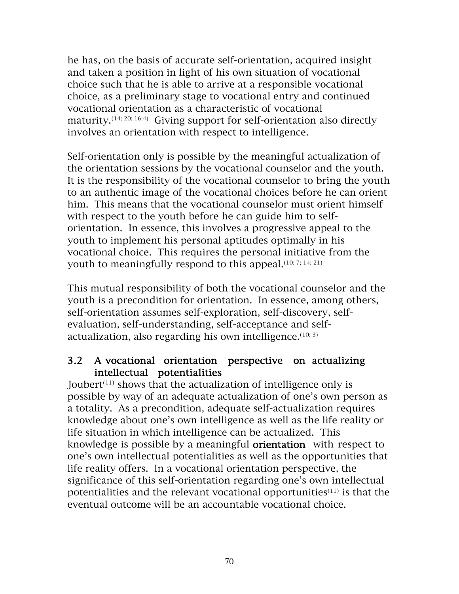he has, on the basis of accurate self-orientation, acquired insight and taken a position in light of his own situation of vocational choice such that he is able to arrive at a responsible vocational choice, as a preliminary stage to vocational entry and continued vocational orientation as a characteristic of vocational maturity.<sup>(14: 20; 16:4)</sup> Giving support for self-orientation also directly involves an orientation with respect to intelligence.

Self-orientation only is possible by the meaningful actualization of the orientation sessions by the vocational counselor and the youth. It is the responsibility of the vocational counselor to bring the youth to an authentic image of the vocational choices before he can orient him. This means that the vocational counselor must orient himself with respect to the youth before he can guide him to selforientation. In essence, this involves a progressive appeal to the youth to implement his personal aptitudes optimally in his vocational choice. This requires the personal initiative from the youth to meaningfully respond to this appeal.<sup>(10: 7; 14: 21)</sup>

This mutual responsibility of both the vocational counselor and the youth is a precondition for orientation. In essence, among others, self-orientation assumes self-exploration, self-discovery, selfevaluation, self-understanding, self-acceptance and selfactualization, also regarding his own intelligence.<sup>(10: 3)</sup>

#### 3.2 A vocational orientation perspective on actualizing intellectual potentialities

Joubert<sup> $(11)$ </sup> shows that the actualization of intelligence only is possible by way of an adequate actualization of one's own person as a totality. As a precondition, adequate self-actualization requires knowledge about one's own intelligence as well as the life reality or life situation in which intelligence can be actualized. This knowledge is possible by a meaningful orientation with respect to one's own intellectual potentialities as well as the opportunities that life reality offers. In a vocational orientation perspective, the significance of this self-orientation regarding one's own intellectual potentialities and the relevant vocational opportunities $(11)$  is that the eventual outcome will be an accountable vocational choice.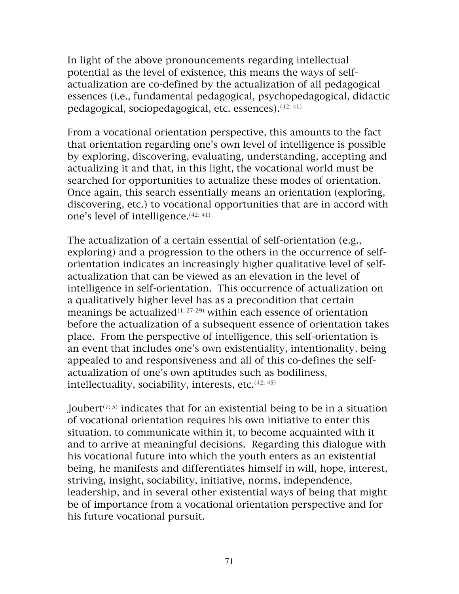In light of the above pronouncements regarding intellectual potential as the level of existence, this means the ways of selfactualization are co-defined by the actualization of all pedagogical essences (i.e., fundamental pedagogical, psychopedagogical, didactic pedagogical, sociopedagogical, etc. essences). (42: 41)

From a vocational orientation perspective, this amounts to the fact that orientation regarding one's own level of intelligence is possible by exploring, discovering, evaluating, understanding, accepting and actualizing it and that, in this light, the vocational world must be searched for opportunities to actualize these modes of orientation. Once again, this search essentially means an orientation (exploring, discovering, etc.) to vocational opportunities that are in accord with one's level of intelligence.<sup>(42: 41)</sup>

The actualization of a certain essential of self-orientation (e.g., exploring) and a progression to the others in the occurrence of selforientation indicates an increasingly higher qualitative level of selfactualization that can be viewed as an elevation in the level of intelligence in self-orientation. This occurrence of actualization on a qualitatively higher level has as a precondition that certain meanings be actualized<sup> $(1: 27-29)$ </sup> within each essence of orientation before the actualization of a subsequent essence of orientation takes place. From the perspective of intelligence, this self-orientation is an event that includes one's own existentiality, intentionality, being appealed to and responsiveness and all of this co-defines the selfactualization of one's own aptitudes such as bodiliness, intellectuality, sociability, interests, etc. $(42:45)$ 

Joubert<sup> $(7:5)$ </sup> indicates that for an existential being to be in a situation of vocational orientation requires his own initiative to enter this situation, to communicate within it, to become acquainted with it and to arrive at meaningful decisions. Regarding this dialogue with his vocational future into which the youth enters as an existential being, he manifests and differentiates himself in will, hope, interest, striving, insight, sociability, initiative, norms, independence, leadership, and in several other existential ways of being that might be of importance from a vocational orientation perspective and for his future vocational pursuit.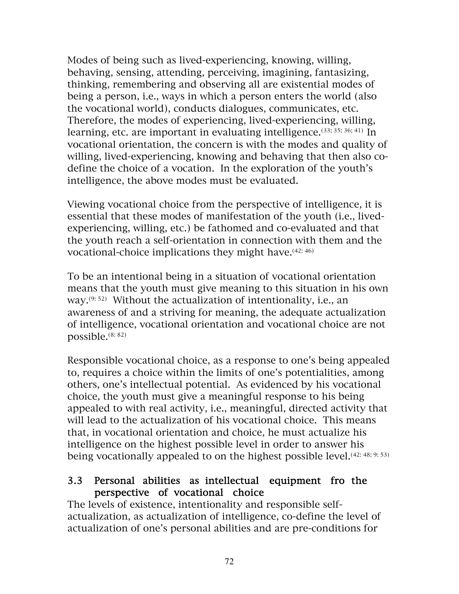Modes of being such as lived-experiencing, knowing, willing, behaving, sensing, attending, perceiving, imagining, fantasizing, thinking, remembering and observing all are existential modes of being a person, i.e., ways in which a person enters the world (also the vocational world), conducts dialogues, communicates, etc. Therefore, the modes of experiencing, lived-experiencing, willing, learning, etc. are important in evaluating intelligence.  $(33; 35; 36; 41)$  In vocational orientation, the concern is with the modes and quality of willing, lived-experiencing, knowing and behaving that then also codefine the choice of a vocation. In the exploration of the youth's intelligence, the above modes must be evaluated.

Viewing vocational choice from the perspective of intelligence, it is essential that these modes of manifestation of the youth (i.e., livedexperiencing, willing, etc.) be fathomed and co-evaluated and that the youth reach a self-orientation in connection with them and the vocational-choice implications they might have.<sup>(42: 46)</sup>

To be an intentional being in a situation of vocational orientation means that the youth must give meaning to this situation in his own way.(9: 52) Without the actualization of intentionality, i.e., an awareness of and a striving for meaning, the adequate actualization of intelligence, vocational orientation and vocational choice are not possible.(8: 82)

Responsible vocational choice, as a response to one's being appealed to, requires a choice within the limits of one's potentialities, among others, one's intellectual potential. As evidenced by his vocational choice, the youth must give a meaningful response to his being appealed to with real activity, i.e., meaningful, directed activity that will lead to the actualization of his vocational choice. This means that, in vocational orientation and choice, he must actualize his intelligence on the highest possible level in order to answer his being vocationally appealed to on the highest possible level.<sup>(42: 48; 9: 53)</sup>

#### 3.3 Personal abilities as intellectual equipment fro the perspective of vocational choice

The levels of existence, intentionality and responsible selfactualization, as actualization of intelligence, co-define the level of actualization of one's personal abilities and are pre-conditions for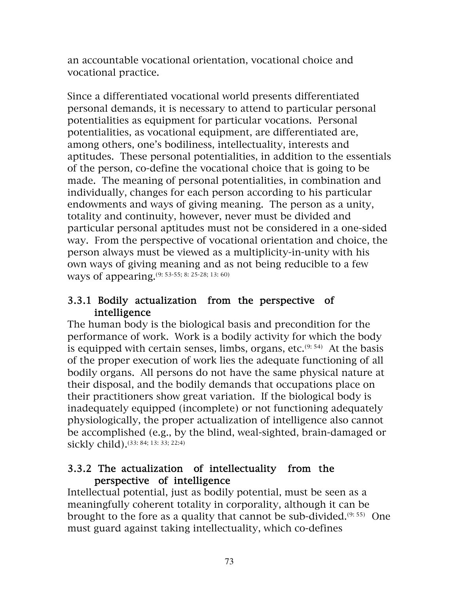an accountable vocational orientation, vocational choice and vocational practice.

Since a differentiated vocational world presents differentiated personal demands, it is necessary to attend to particular personal potentialities as equipment for particular vocations. Personal potentialities, as vocational equipment, are differentiated are, among others, one's bodiliness, intellectuality, interests and aptitudes. These personal potentialities, in addition to the essentials of the person, co-define the vocational choice that is going to be made. The meaning of personal potentialities, in combination and individually, changes for each person according to his particular endowments and ways of giving meaning. The person as a unity, totality and continuity, however, never must be divided and particular personal aptitudes must not be considered in a one-sided way. From the perspective of vocational orientation and choice, the person always must be viewed as a multiplicity-in-unity with his own ways of giving meaning and as not being reducible to a few ways of appearing.(9: 53-55; 8: 25-28; 13: 60)

## 3.3.1 Bodily actualization from the perspective of intelligence

The human body is the biological basis and precondition for the performance of work. Work is a bodily activity for which the body is equipped with certain senses, limbs, organs, etc. $(9:54)$  At the basis of the proper execution of work lies the adequate functioning of all bodily organs. All persons do not have the same physical nature at their disposal, and the bodily demands that occupations place on their practitioners show great variation. If the biological body is inadequately equipped (incomplete) or not functioning adequately physiologically, the proper actualization of intelligence also cannot be accomplished (e.g., by the blind, weal-sighted, brain-damaged or sickly child).(33: 84; 13: 33; 22:4)

#### 3.3.2 The actualization of intellectuality from the perspective of intelligence

Intellectual potential, just as bodily potential, must be seen as a meaningfully coherent totality in corporality, although it can be brought to the fore as a quality that cannot be sub-divided. $(9:55)$  One must guard against taking intellectuality, which co-defines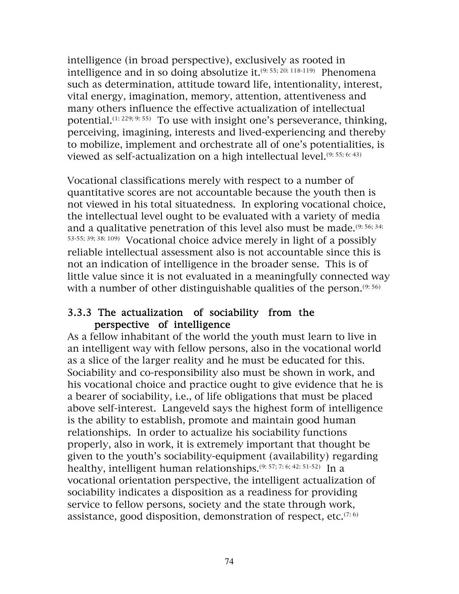intelligence (in broad perspective), exclusively as rooted in intelligence and in so doing absolutize it.<sup>(9: 55; 20: 118-119)</sup> Phenomena such as determination, attitude toward life, intentionality, interest, vital energy, imagination, memory, attention, attentiveness and many others influence the effective actualization of intellectual potential.<sup>(1: 229; 9: 55)</sup> To use with insight one's perseverance, thinking, perceiving, imagining, interests and lived-experiencing and thereby to mobilize, implement and orchestrate all of one's potentialities, is viewed as self-actualization on a high intellectual level.<sup>(9: 55; 6: 43)</sup>

Vocational classifications merely with respect to a number of quantitative scores are not accountable because the youth then is not viewed in his total situatedness. In exploring vocational choice, the intellectual level ought to be evaluated with a variety of media and a qualitative penetration of this level also must be made.(9: 56; 34: 53-55; 39; 38: 109) Vocational choice advice merely in light of a possibly reliable intellectual assessment also is not accountable since this is not an indication of intelligence in the broader sense. This is of little value since it is not evaluated in a meaningfully connected way with a number of other distinguishable qualities of the person. $(9:56)$ 

#### 3.3.3 The actualization of sociability from the perspective of intelligence

As a fellow inhabitant of the world the youth must learn to live in an intelligent way with fellow persons, also in the vocational world as a slice of the larger reality and he must be educated for this. Sociability and co-responsibility also must be shown in work, and his vocational choice and practice ought to give evidence that he is a bearer of sociability, i.e., of life obligations that must be placed above self-interest. Langeveld says the highest form of intelligence is the ability to establish, promote and maintain good human relationships. In order to actualize his sociability functions properly, also in work, it is extremely important that thought be given to the youth's sociability-equipment (availability) regarding healthy, intelligent human relationships.<sup>(9: 57; 7: 6; 42: 51-52)</sup> In a vocational orientation perspective, the intelligent actualization of sociability indicates a disposition as a readiness for providing service to fellow persons, society and the state through work, assistance, good disposition, demonstration of respect, etc. $(7.6)$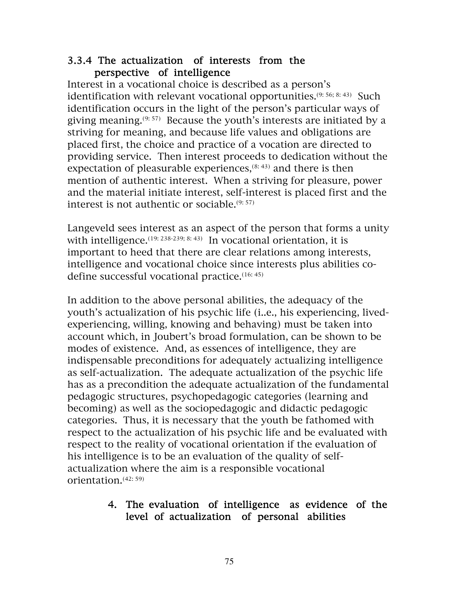#### 3.3.4 The actualization of interests from the perspective of intelligence

Interest in a vocational choice is described as a person's identification with relevant vocational opportunities.<sup>(9: 56; 8: 43)</sup> Such identification occurs in the light of the person's particular ways of giving meaning.(9: 57) Because the youth's interests are initiated by a striving for meaning, and because life values and obligations are placed first, the choice and practice of a vocation are directed to providing service. Then interest proceeds to dedication without the expectation of pleasurable experiences, $(8: 43)$  and there is then mention of authentic interest. When a striving for pleasure, power and the material initiate interest, self-interest is placed first and the interest is not authentic or sociable.(9: 57)

Langeveld sees interest as an aspect of the person that forms a unity with intelligence.  $(19: 238-239; 8: 43)$  In vocational orientation, it is important to heed that there are clear relations among interests, intelligence and vocational choice since interests plus abilities codefine successful vocational practice.(16: 45)

In addition to the above personal abilities, the adequacy of the youth's actualization of his psychic life (i..e., his experiencing, livedexperiencing, willing, knowing and behaving) must be taken into account which, in Joubert's broad formulation, can be shown to be modes of existence. And, as essences of intelligence, they are indispensable preconditions for adequately actualizing intelligence as self-actualization. The adequate actualization of the psychic life has as a precondition the adequate actualization of the fundamental pedagogic structures, psychopedagogic categories (learning and becoming) as well as the sociopedagogic and didactic pedagogic categories. Thus, it is necessary that the youth be fathomed with respect to the actualization of his psychic life and be evaluated with respect to the reality of vocational orientation if the evaluation of his intelligence is to be an evaluation of the quality of selfactualization where the aim is a responsible vocational orientation.(42: 59)

#### 4. The evaluation of intelligence as evidence of the level of actualization of personal abilities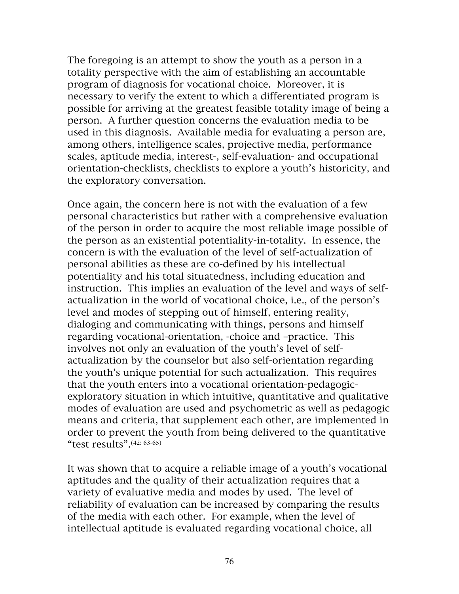The foregoing is an attempt to show the youth as a person in a totality perspective with the aim of establishing an accountable program of diagnosis for vocational choice. Moreover, it is necessary to verify the extent to which a differentiated program is possible for arriving at the greatest feasible totality image of being a person. A further question concerns the evaluation media to be used in this diagnosis. Available media for evaluating a person are, among others, intelligence scales, projective media, performance scales, aptitude media, interest-, self-evaluation- and occupational orientation-checklists, checklists to explore a youth's historicity, and the exploratory conversation.

Once again, the concern here is not with the evaluation of a few personal characteristics but rather with a comprehensive evaluation of the person in order to acquire the most reliable image possible of the person as an existential potentiality-in-totality. In essence, the concern is with the evaluation of the level of self-actualization of personal abilities as these are co-defined by his intellectual potentiality and his total situatedness, including education and instruction. This implies an evaluation of the level and ways of selfactualization in the world of vocational choice, i.e., of the person's level and modes of stepping out of himself, entering reality, dialoging and communicating with things, persons and himself regarding vocational-orientation, -choice and –practice. This involves not only an evaluation of the youth's level of selfactualization by the counselor but also self-orientation regarding the youth's unique potential for such actualization. This requires that the youth enters into a vocational orientation-pedagogicexploratory situation in which intuitive, quantitative and qualitative modes of evaluation are used and psychometric as well as pedagogic means and criteria, that supplement each other, are implemented in order to prevent the youth from being delivered to the quantitative "test results".(42: 63-65)

It was shown that to acquire a reliable image of a youth's vocational aptitudes and the quality of their actualization requires that a variety of evaluative media and modes by used. The level of reliability of evaluation can be increased by comparing the results of the media with each other. For example, when the level of intellectual aptitude is evaluated regarding vocational choice, all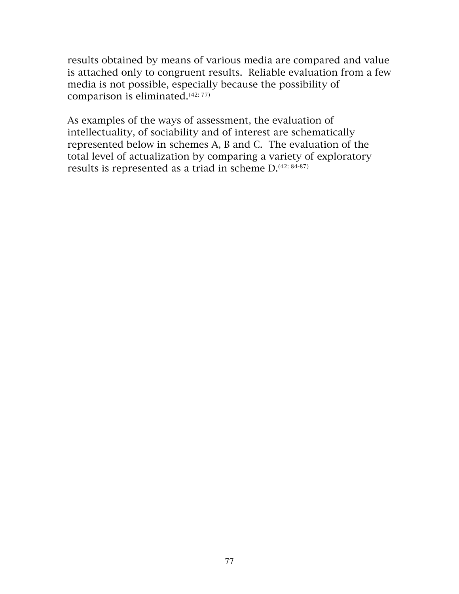results obtained by means of various media are compared and value is attached only to congruent results. Reliable evaluation from a few media is not possible, especially because the possibility of comparison is eliminated.(42: 77)

As examples of the ways of assessment, the evaluation of intellectuality, of sociability and of interest are schematically represented below in schemes A, B and C. The evaluation of the total level of actualization by comparing a variety of exploratory results is represented as a triad in scheme  $D^{(42: 84-87)}$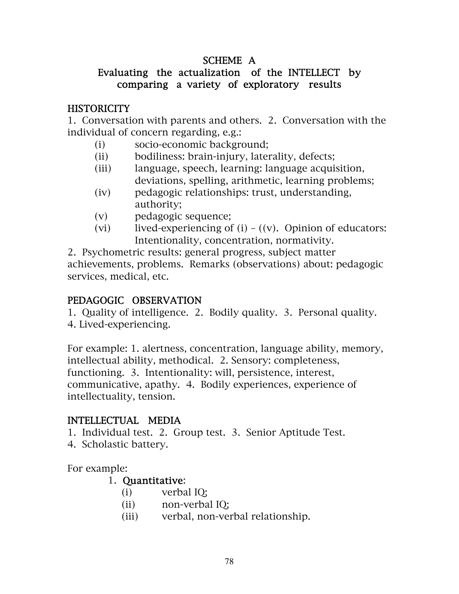## SCHEME A

## Evaluating the actualization of the INTELLECT by comparing a variety of exploratory results

#### **HISTORICITY**

1. Conversation with parents and others. 2. Conversation with the individual of concern regarding, e.g.:

- (i) socio-economic background;
- (ii) bodiliness: brain-injury, laterality, defects;
- (iii) language, speech, learning: language acquisition, deviations, spelling, arithmetic, learning problems;
- (iv) pedagogic relationships: trust, understanding, authority;
- (v) pedagogic sequence;
- (vi) lived-experiencing of  $(i) ((v)$ . Opinion of educators: Intentionality, concentration, normativity.

2. Psychometric results: general progress, subject matter achievements, problems. Remarks (observations) about: pedagogic services, medical, etc.

## PEDAGOGIC OBSERVATION

1. Quality of intelligence. 2. Bodily quality. 3. Personal quality. 4. Lived-experiencing.

For example: 1. alertness, concentration, language ability, memory, intellectual ability, methodical. 2. Sensory: completeness, functioning. 3. Intentionality: will, persistence, interest, communicative, apathy. 4. Bodily experiences, experience of intellectuality, tension.

## INTELLECTUAL MEDIA

1. Individual test. 2. Group test. 3. Senior Aptitude Test.

4. Scholastic battery.

For example:

#### 1. Quantitative:

- (i) verbal IQ;
- (ii) non-verbal IQ;
- (iii) verbal, non-verbal relationship.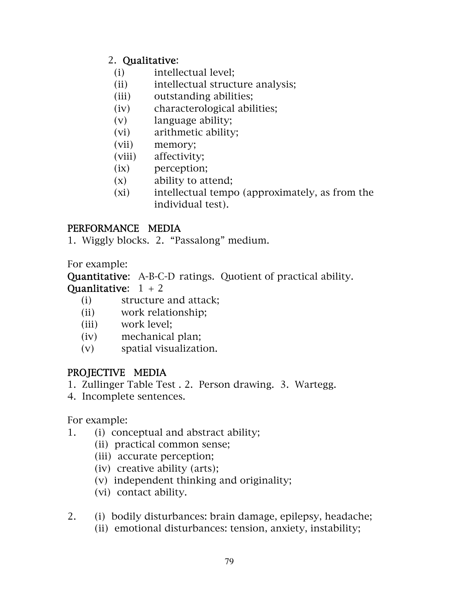## 2. Qualitative:

- (i) intellectual level;
- (ii) intellectual structure analysis;
- (iii) outstanding abilities;
- (iv) characterological abilities;
- (v) language ability;
- (vi) arithmetic ability;
- (vii) memory;
- (viii) affectivity;
- (ix) perception;
- (x) ability to attend;
- (xi) intellectual tempo (approximately, as from the individual test).

## PERFORMANCE MEDIA

1. Wiggly blocks. 2. "Passalong" medium.

For example:

Quantitative: A-B-C-D ratings. Quotient of practical ability. Quanlitative:  $1 + 2$ 

- (i) structure and attack;
- (ii) work relationship;
- (iii) work level;
- (iv) mechanical plan;
- (v) spatial visualization.

## PROJECTIVE MEDIA

- 1. Zullinger Table Test . 2. Person drawing. 3. Wartegg.
- 4. Incomplete sentences.

For example:

- 1. (i) conceptual and abstract ability;
	- (ii) practical common sense;
	- (iii) accurate perception;
	- (iv) creative ability (arts);
	- (v) independent thinking and originality;
	- (vi) contact ability.
- 2. (i) bodily disturbances: brain damage, epilepsy, headache;
	- (ii) emotional disturbances: tension, anxiety, instability;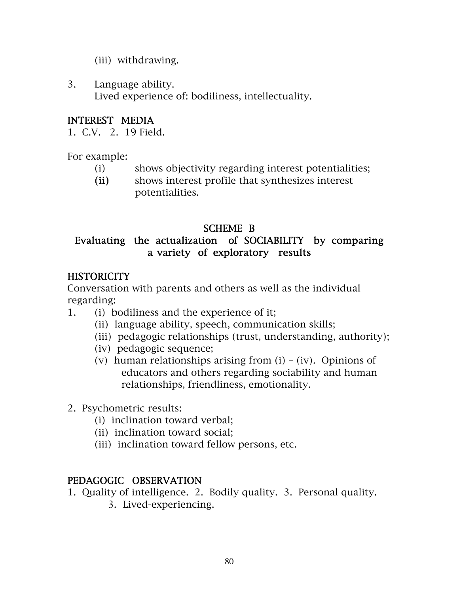- (iii) withdrawing.
- 3. Language ability. Lived experience of: bodiliness, intellectuality.

## INTEREST MEDIA

1. C.V. 2. 19 Field.

For example:

- (i) shows objectivity regarding interest potentialities;
- (ii) shows interest profile that synthesizes interest potentialities.

## SCHEME B

## Evaluating the actualization of SOCIABILITY by comparing a variety of exploratory results

## **HISTORICITY**

Conversation with parents and others as well as the individual regarding:

- 1. (i) bodiliness and the experience of it;
	- (ii) language ability, speech, communication skills;
	- (iii) pedagogic relationships (trust, understanding, authority);
	- (iv) pedagogic sequence;
	- (v) human relationships arising from  $(i) (iv)$ . Opinions of educators and others regarding sociability and human relationships, friendliness, emotionality.
- 2. Psychometric results:
	- (i) inclination toward verbal;
	- (ii) inclination toward social;
	- (iii) inclination toward fellow persons, etc.

#### PEDAGOGIC OBSERVATION

- 1. Quality of intelligence. 2. Bodily quality. 3. Personal quality.
	- 3. Lived-experiencing.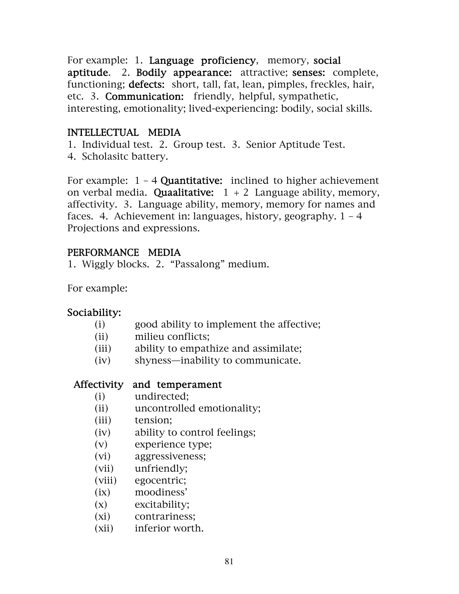For example: 1. Language proficiency, memory, social aptitude. 2. Bodily appearance: attractive; senses: complete, functioning; **defects:** short, tall, fat, lean, pimples, freckles, hair, etc. 3. Communication: friendly, helpful, sympathetic, interesting, emotionality; lived-experiencing: bodily, social skills.

## INTELLECTUAL MEDIA

1. Individual test. 2. Group test. 3. Senior Aptitude Test.

4. Scholasitc battery.

For example:  $1 - 4$  Quantitative: inclined to higher achievement on verbal media. Quaalitative:  $1 + 2$  Language ability, memory, affectivity. 3. Language ability, memory, memory for names and faces. 4. Achievement in: languages, history, geography.  $1 - 4$ Projections and expressions.

#### PERFORMANCE MEDIA

1. Wiggly blocks. 2. "Passalong" medium.

For example:

#### Sociability:

- (i) good ability to implement the affective;
- (ii) milieu conflicts;
- (iii) ability to empathize and assimilate;
- (iv) shyness—inability to communicate.

#### Affectivity and temperament

- (i) undirected;
- (ii) uncontrolled emotionality;
- (iii) tension;
- (iv) ability to control feelings;
- (v) experience type;
- (vi) aggressiveness;
- (vii) unfriendly;
- (viii) egocentric;
- (ix) moodiness'
- (x) excitability;
- (xi) contrariness;
- (xii) inferior worth.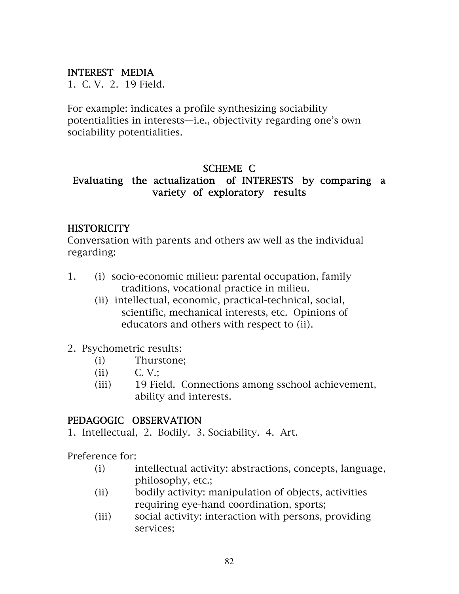#### INTEREST MEDIA

1. C. V. 2. 19 Field.

For example: indicates a profile synthesizing sociability potentialities in interests—i.e., objectivity regarding one's own sociability potentialities.

## SCHEME C

## Evaluating the actualization of INTERESTS by comparing a variety of exploratory results

#### **HISTORICITY**

Conversation with parents and others aw well as the individual regarding:

- 1. (i) socio-economic milieu: parental occupation, family traditions, vocational practice in milieu.
	- (ii) intellectual, economic, practical-technical, social, scientific, mechanical interests, etc. Opinions of educators and others with respect to (ii).
- 2. Psychometric results:
	- (i) Thurstone;
	- (ii) C. V.;
	- (iii) 19 Field. Connections among sschool achievement, ability and interests.

#### PEDAGOGIC OBSERVATION

1. Intellectual, 2. Bodily. 3. Sociability. 4. Art.

Preference for:

- (i) intellectual activity: abstractions, concepts, language, philosophy, etc.;
- (ii) bodily activity: manipulation of objects, activities requiring eye-hand coordination, sports;
- (iii) social activity: interaction with persons, providing services;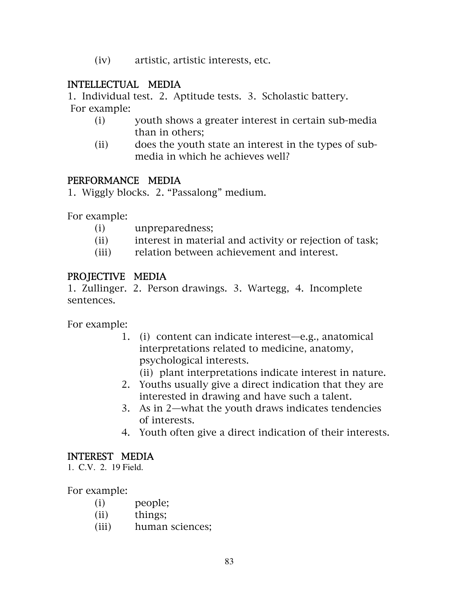(iv) artistic, artistic interests, etc.

#### INTELLECTUAL MEDIA

1. Individual test. 2. Aptitude tests. 3. Scholastic battery.

For example:

- (i) youth shows a greater interest in certain sub-media than in others;
- (ii) does the youth state an interest in the types of submedia in which he achieves well?

#### PERFORMANCE MEDIA

1. Wiggly blocks. 2. "Passalong" medium.

For example:

- (i) unpreparedness;
- (ii) interest in material and activity or rejection of task;
- (iii) relation between achievement and interest.

#### PROJECTIVE MEDIA

1. Zullinger. 2. Person drawings. 3. Wartegg, 4. Incomplete sentences.

For example:

- 1. (i) content can indicate interest—e.g., anatomical interpretations related to medicine, anatomy, psychological interests.
	- (ii) plant interpretations indicate interest in nature.
- 2. Youths usually give a direct indication that they are interested in drawing and have such a talent.
- 3. As in 2—what the youth draws indicates tendencies of interests.
- 4. Youth often give a direct indication of their interests.

#### INTEREST MEDIA

1. C.V. 2. 19 Field.

For example:

- (i) people;
- (ii) things;
- (iii) human sciences;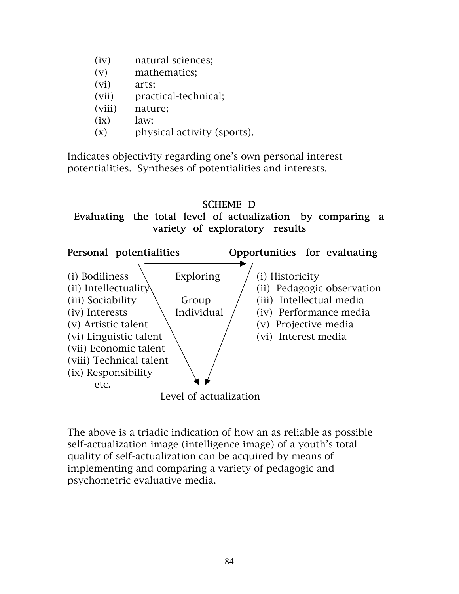- (iv) natural sciences;
- (v) mathematics;
- (vi) arts;
- (vii) practical-technical;
- (viii) nature;
- $(ix)$  law;
- (x) physical activity (sports).

Indicates objectivity regarding one's own personal interest potentialities. Syntheses of potentialities and interests.

## SCHEME D Evaluating the total level of actualization by comparing a variety of exploratory results



The above is a triadic indication of how an as reliable as possible self-actualization image (intelligence image) of a youth's total quality of self-actualization can be acquired by means of implementing and comparing a variety of pedagogic and psychometric evaluative media.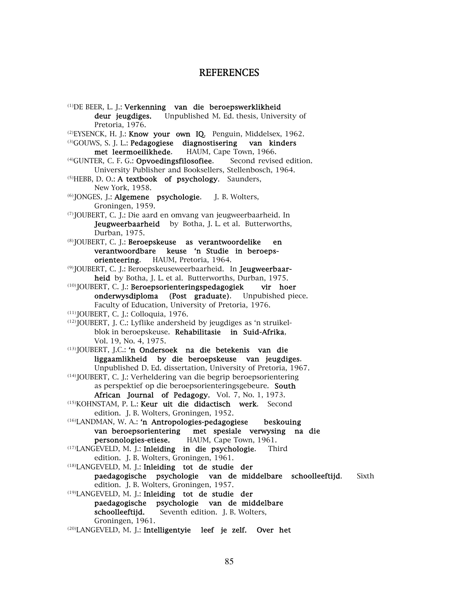#### REFERENCES

(1)DE BEER, L. J.: Verkenning van die beroepswerklikheid deur jeugdiges. Unpublished M. Ed. thesis, University of Pretoria, 1976.  $(2)EYSENCK, H. J.:$  Know your own IQ. Penguin, Middelsex, 1962. (3)GOUWS, S. J. L.: Pedagogiese diagnostisering van kinders met leermoeilikhede. HAUM, Cape Town, 1966. <sup>(4)</sup>GUNTER, C. F. G.: Opvoedingsfilosofiee. Second revised edition. University Publisher and Booksellers, Stellenbosch, 1964. (5)HEBB, D. O.: A textbook of psychology. Saunders, New York, 1958. (6)JONGES, J.: Algemene psychologie. J. B. Wolters, Groningen, 1959. (7)JOUBERT, C. J.: Die aard en omvang van jeugweerbaarheid. In Jeugweerbaarheid by Botha, J. L. et al. Butterworths, Durban, 1975. (8)JOUBERT, C. J.: Beroepskeuse as verantwoordelike en verantwoordbare keuse 'n Studie in beroepsorienteering. HAUM, Pretoria, 1964. (9) JOUBERT, C. J.: Beroepskeuseweerbaarheid. In Jeugweerbaarheid by Botha, J. L. et al. Butterworths, Durban, 1975. (10)JOUBERT, C. J.: Beroepsorienteringspedagogiek vir hoer onderwysdiploma (Post graduate). Unpubished piece. Faculty of Education, University of Pretoria, 1976. (11)JOUBERT, C. J.: Colloquia, 1976. (12)JOUBERT, J. C.: Lyflike andersheid by jeugdiges as 'n struikelblok in beroepskeuse. Rehabilitasie in Suid-Afrika, Vol. 19, No. 4, 1975. (13)JOUBERT, J.C.: 'n Ondersoek na die betekenis van die liggaamlikheid by die beroepskeuse van jeugdiges. Unpublished D. Ed. dissertation, University of Pretoria, 1967. (14)JOUBERT, C. J.: Verheldering van die begrip beroepsorientering as perspektief op die beroepsorienteringsgebeure. South African Journal of Pedagogy, Vol. 7, No. 1, 1973. (15)KOHNSTAM, P. L.: Keur uit die didactisch werk. Second edition. J. B. Wolters, Groningen, 1952. (16)LANDMAN, W. A.: 'n Antropologies-pedagogiese beskouing van beroepsorientering met spesiale verwysing na die personologies-etiese. HAUM, Cape Town, 1961. (17)LANGEVELD, M. J.: Inleiding in die psychologie. Third edition. J. B. Wolters, Groningen, 1961. (18)LANGEVELD, M. J.: Inleiding tot de studie der paedagogische psychologie van de middelbare schoolleeftijd. Sixth edition. J. B. Wolters, Groningen, 1957. (19)LANGEVELD, M. J.: Inleiding tot de studie der paedagogische psychologie van de middelbare schoolleeftijd. Seventh edition. J. B. Wolters, Groningen, 1961. (20)LANGEVELD, M. J.: Intelligentyie leef je zelf. Over het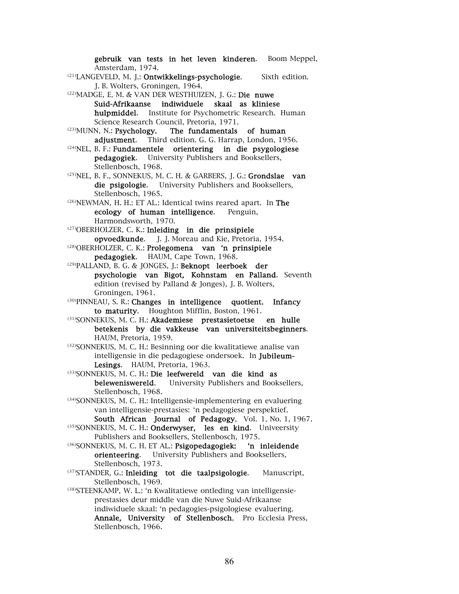Amsterdam, 1974. (21)LANGEVELD, M. J.: Ontwikkelings-psychologie. Sixth edition. J. B. Wolters, Groningen, 1964. (22)MADGE, E. M. & VAN DER WESTHUIZEN, J. G.: Die nuwe Suid-Afrikaanse indiwiduele skaal as kliniese hulpmiddel. Institute for Psychometric Research. Human Science Research Council, Pretoria, 1971. (23)MUNN, N.: Psychology. The fundamentals of human adjustment. Third edition. G. G. Harrap, London, 1956. (24)NEL, B. F.: Fundamentele orientering in die psygologiese pedagogiek. University Publishers and Booksellers, Stellenbosch, 1968. (25)NEL, B. F., SONNEKUS, M. C. H. & GARBERS, J. G.: Grondslae van die psigologie. University Publishers and Booksellers, Stellenbosch, 1965. (26)NEWMAN, H. H.: ET AL.: Identical twins reared apart. In The ecology of human intelligence. Penguin, Harmondsworth, 1970. (27)OBERHOLZER, C. K.: Inleiding in die prinsipiele opvoedkunde. J. J. Moreau and Kie, Pretoria, 1954. (28)OBERHOLZER, C. K.: Prolegomena van 'n prinsipiele pedagogiek. HAUM, Cape Town, 1968. (29)PALLAND, B. G. & JONGES, J.: Beknopt leerboek der psychologie van Bigot, Kohnstam en Palland. Seventh edition (revised by Palland & Jonges), J. B. Wolters, Groningen, 1961. (30)PINNEAU, S. R.: Changes in intelligence quotient. Infancy to maturity. Houghton Mifflin, Boston, 1961. (31)SONNEKUS, M. C. H.: Akademiese prestasietoetse en hulle betekenis by die vakkeuse van universiteitsbeginners. HAUM, Pretoria, 1959. (32)SONNEKUS, M. C. H.: Besinning oor die kwalitatiewe analise van intelligensie in die pedagogiese ondersoek. In Jubileum-Lesings. HAUM, Pretoria, 1963. (33)SONNEKUS, M. C. H.: Die leefwereld van die kind as beleweniswereld. University Publishers and Booksellers, Stellenbosch, 1968. (34)SONNEKUS, M. C. H.: Intelligensie-implementering en evaluering van intelligensie-prestasies: 'n pedagogiese perspektief. South African Journal of Pedagogy, Vol. 1, No. 1, 1967. (35)SONNEKUS, M. C. H.: Onderwyser, les en kind. Univeersity Publishers and Booksellers, Stellenbosch, 1975. (36)SONNEKUS, M. C. H. ET AL.: Psigopedagogiek: 'n inleidende orienteering. University Publishers and Booksellers, Stellenbosch, 1973. (37) STANDER, G.: Inleiding tot die taalpsigologie. Manuscript, Stellenbosch, 1969. (38)STEENKAMP, W. L.: 'n Kwalitatiewe ontleding van intelligensieprestasies deur middle van die Nuwe Suid-Afrikaanse indiwiduele skaal: 'n pedagogies-psigologiese evaluering. Annale, University of Stellenbosch, Pro Ecclesia Press, Stellenbosch, 1966.

gebruik van tests in het leven kinderen. Boom Meppel,